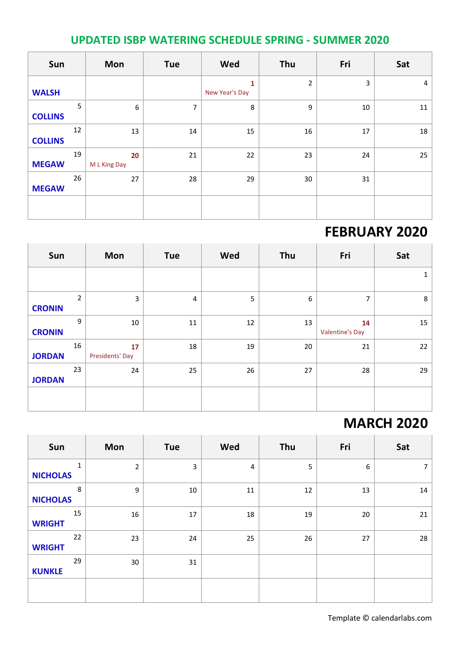#### **UPDATED ISBP WATERING SCHEDULE SPRING - SUMMER 2020**

| Sun            |    | <b>Mon</b>         | <b>Tue</b>     | Wed                 | Thu            | Fri | Sat    |
|----------------|----|--------------------|----------------|---------------------|----------------|-----|--------|
| <b>WALSH</b>   |    |                    |                | 1<br>New Year's Day | $\overline{2}$ | 3   | 4      |
| <b>COLLINS</b> | 5  | 6                  | $\overline{7}$ | 8                   | 9              | 10  | $11\,$ |
| <b>COLLINS</b> | 12 | 13                 | 14             | 15                  | 16             | 17  | 18     |
| <b>MEGAW</b>   | 19 | 20<br>M L King Day | 21             | 22                  | 23             | 24  | 25     |
| <b>MEGAW</b>   | 26 | 27                 | 28             | 29                  | 30             | 31  |        |
|                |    |                    |                |                     |                |     |        |

## **FEBRUARY 2020**

| Sun           |                | Mon                   | <b>Tue</b>     | Wed | Thu              | Fri                          | Sat |
|---------------|----------------|-----------------------|----------------|-----|------------------|------------------------------|-----|
|               |                |                       |                |     |                  |                              | 1   |
| <b>CRONIN</b> | $\overline{2}$ | 3                     | $\overline{4}$ | 5   | $\boldsymbol{6}$ | 7                            | 8   |
| <b>CRONIN</b> | 9              | 10                    | $11\,$         | 12  | 13               | 14<br><b>Valentine's Day</b> | 15  |
| <b>JORDAN</b> | 16             | 17<br>Presidents' Day | 18             | 19  | 20               | 21                           | 22  |
| <b>JORDAN</b> | 23             | 24                    | 25             | 26  | 27               | 28                           | 29  |
|               |                |                       |                |     |                  |                              |     |

## **MARCH 2020**

| Sun                  | Mon            | <b>Tue</b> | Wed | Thu | Fri | Sat            |
|----------------------|----------------|------------|-----|-----|-----|----------------|
| 1<br><b>NICHOLAS</b> | $\overline{2}$ | 3          | 4   | 5   | 6   | $\overline{7}$ |
| 8<br><b>NICHOLAS</b> | $\overline{9}$ | 10         | 11  | 12  | 13  | 14             |
| 15<br><b>WRIGHT</b>  | 16             | 17         | 18  | 19  | 20  | 21             |
| 22<br><b>WRIGHT</b>  | 23             | 24         | 25  | 26  | 27  | 28             |
| 29<br><b>KUNKLE</b>  | 30             | 31         |     |     |     |                |
|                      |                |            |     |     |     |                |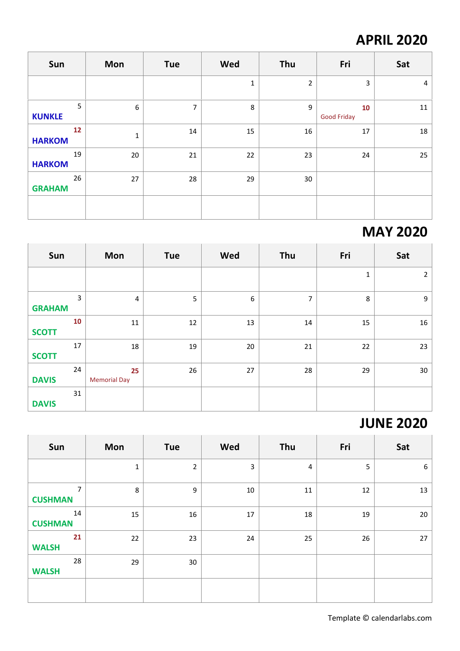# **APRIL 2020**

| Sun                 | Mon | Tue            | Wed          | Thu              | Fri                      | Sat            |
|---------------------|-----|----------------|--------------|------------------|--------------------------|----------------|
|                     |     |                | $\mathbf{1}$ | $\overline{2}$   | 3                        | $\overline{4}$ |
| 5<br><b>KUNKLE</b>  | 6   | $\overline{7}$ | 8            | $\boldsymbol{9}$ | 10<br><b>Good Friday</b> | 11             |
| 12<br><b>HARKOM</b> | 1   | 14             | 15           | 16               | 17                       | 18             |
| 19<br><b>HARKOM</b> | 20  | 21             | 22           | 23               | 24                       | 25             |
| 26<br><b>GRAHAM</b> | 27  | 28             | 29           | 30               |                          |                |
|                     |     |                |              |                  |                          |                |

## **MAY 2020**

| Sun                             | Mon                       | <b>Tue</b> | Wed | Thu            | Fri          | Sat            |
|---------------------------------|---------------------------|------------|-----|----------------|--------------|----------------|
|                                 |                           |            |     |                | $\mathbf{1}$ | $\overline{2}$ |
| $\overline{3}$<br><b>GRAHAM</b> | 4                         | 5          | 6   | $\overline{7}$ | 8            | 9              |
| 10<br><b>SCOTT</b>              | $11\,$                    | 12         | 13  | 14             | 15           | 16             |
| 17<br><b>SCOTT</b>              | 18                        | 19         | 20  | 21             | 22           | 23             |
| 24<br><b>DAVIS</b>              | 25<br><b>Memorial Day</b> | 26         | 27  | 28             | 29           | 30             |
| 31<br><b>DAVIS</b>              |                           |            |     |                |              |                |

# **JUNE 2020**

| Sun                  | Mon         | <b>Tue</b>     | Wed    | Thu            | Fri | Sat |
|----------------------|-------------|----------------|--------|----------------|-----|-----|
|                      | $\mathbf 1$ | $\overline{2}$ | 3      | $\overline{4}$ | 5   | 6   |
| 7<br><b>CUSHMAN</b>  | 8           | 9              | $10\,$ | 11             | 12  | 13  |
| 14<br><b>CUSHMAN</b> | 15          | 16             | 17     | 18             | 19  | 20  |
| 21<br><b>WALSH</b>   | 22          | 23             | 24     | 25             | 26  | 27  |
| 28<br><b>WALSH</b>   | 29          | 30             |        |                |     |     |
|                      |             |                |        |                |     |     |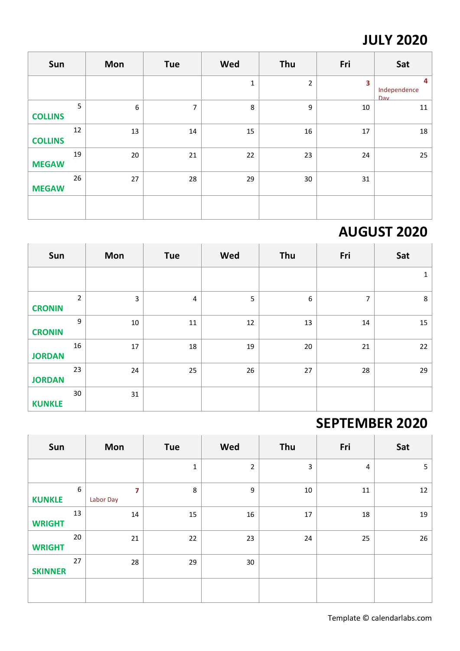# **JULY 2020**

| Sun            |    | Mon              | <b>Tue</b>     | Wed          | Thu         | Fri    | Sat                      |
|----------------|----|------------------|----------------|--------------|-------------|--------|--------------------------|
|                |    |                  |                | $\mathbf{1}$ | $\mathbf 2$ | 3      | 4<br>Independence<br>Day |
| <b>COLLINS</b> | 5  | $\boldsymbol{6}$ | $\overline{7}$ | 8            | 9           | 10     | 11                       |
| <b>COLLINS</b> | 12 | 13               | 14             | 15           | 16          | $17\,$ | 18                       |
| <b>MEGAW</b>   | 19 | 20               | 21             | 22           | 23          | 24     | 25                       |
| <b>MEGAW</b>   | 26 | 27               | 28             | 29           | 30          | 31     |                          |
|                |    |                  |                |              |             |        |                          |

# **AUGUST 2020**

| Sun           |                | Mon    | <b>Tue</b>     | Wed | Thu              | Fri            | Sat |
|---------------|----------------|--------|----------------|-----|------------------|----------------|-----|
|               |                |        |                |     |                  |                | 1   |
| <b>CRONIN</b> | $\overline{2}$ | 3      | $\overline{4}$ | 5   | $\boldsymbol{6}$ | $\overline{7}$ | 8   |
| <b>CRONIN</b> | 9              | $10\,$ | 11             | 12  | 13               | 14             | 15  |
| <b>JORDAN</b> | 16             | $17\,$ | 18             | 19  | 20               | 21             | 22  |
| <b>JORDAN</b> | 23             | 24     | 25             | 26  | 27               | 28             | 29  |
| <b>KUNKLE</b> | 30             | 31     |                |     |                  |                |     |

# **SEPTEMBER 2020**

| Sun            |    | Mon            | Tue          | Wed            | Thu                     | Fri    | Sat            |
|----------------|----|----------------|--------------|----------------|-------------------------|--------|----------------|
|                |    |                | $\mathbf{1}$ | $\overline{2}$ | $\overline{\mathbf{3}}$ | 4      | $5\phantom{.}$ |
| <b>KUNKLE</b>  | 6  | 7<br>Labor Day | 8            | 9              | $10\,$                  | $11\,$ | 12             |
| <b>WRIGHT</b>  | 13 | 14             | 15           | 16             | $17\,$                  | 18     | 19             |
| <b>WRIGHT</b>  | 20 | 21             | 22           | 23             | 24                      | 25     | 26             |
| <b>SKINNER</b> | 27 | 28             | 29           | 30             |                         |        |                |
|                |    |                |              |                |                         |        |                |